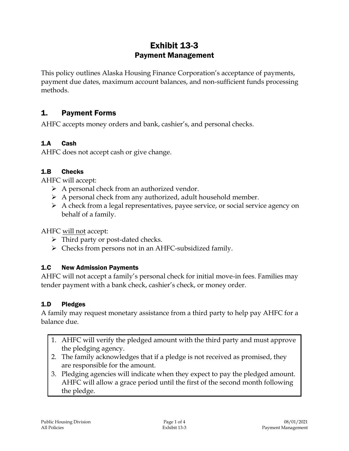# Exhibit 13-3 Payment Management

This policy outlines Alaska Housing Finance Corporation's acceptance of payments, payment due dates, maximum account balances, and non-sufficient funds processing methods.

## 1. Payment Forms

AHFC accepts money orders and bank, cashier's, and personal checks.

#### 1.A Cash

AHFC does not accept cash or give change.

#### 1.B Checks

AHFC will accept:

- $\triangleright$  A personal check from an authorized vendor.
- $\triangleright$  A personal check from any authorized, adult household member.
- $\triangleright$  A check from a legal representatives, payee service, or social service agency on behalf of a family.

AHFC will not accept:

- $\triangleright$  Third party or post-dated checks.
- $\triangleright$  Checks from persons not in an AHFC-subsidized family.

#### 1.C New Admission Payments

AHFC will not accept a family's personal check for initial move-in fees. Families may tender payment with a bank check, cashier's check, or money order.

#### 1.D Pledges

A family may request monetary assistance from a third party to help pay AHFC for a balance due.

- 1. AHFC will verify the pledged amount with the third party and must approve the pledging agency.
- 2. The family acknowledges that if a pledge is not received as promised, they are responsible for the amount.
- 3. Pledging agencies will indicate when they expect to pay the pledged amount. AHFC will allow a grace period until the first of the second month following the pledge.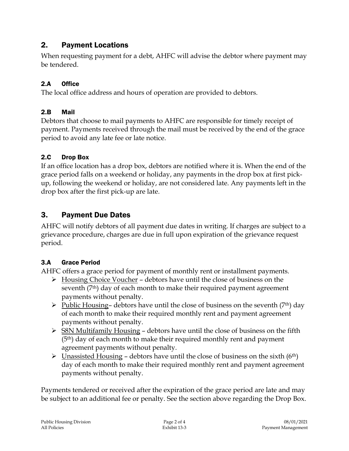# 2. Payment Locations

When requesting payment for a debt, AHFC will advise the debtor where payment may be tendered.

### 2.A Office

The local office address and hours of operation are provided to debtors.

#### 2.B Mail

Debtors that choose to mail payments to AHFC are responsible for timely receipt of payment. Payments received through the mail must be received by the end of the grace period to avoid any late fee or late notice.

#### 2.C Drop Box

If an office location has a drop box, debtors are notified where it is. When the end of the grace period falls on a weekend or holiday, any payments in the drop box at first pickup, following the weekend or holiday, are not considered late. Any payments left in the drop box after the first pick-up are late.

# 3. Payment Due Dates

AHFC will notify debtors of all payment due dates in writing. If charges are subject to a grievance procedure, charges are due in full upon expiration of the grievance request period.

### 3.A Grace Period

AHFC offers a grace period for payment of monthly rent or installment payments.

- $\triangleright$  Housing Choice Voucher debtors have until the close of business on the seventh  $(7<sup>th</sup>)$  day of each month to make their required payment agreement payments without penalty.
- $\triangleright$  Public Housing– debtors have until the close of business on the seventh (7<sup>th</sup>) day of each month to make their required monthly rent and payment agreement payments without penalty.
- $\triangleright$  S8N Multifamily Housing debtors have until the close of business on the fifth (5th) day of each month to make their required monthly rent and payment agreement payments without penalty.
- $\triangleright$  Unassisted Housing debtors have until the close of business on the sixth (6<sup>th</sup>) day of each month to make their required monthly rent and payment agreement payments without penalty.

Payments tendered or received after the expiration of the grace period are late and may be subject to an additional fee or penalty. See the section above regarding the Drop Box.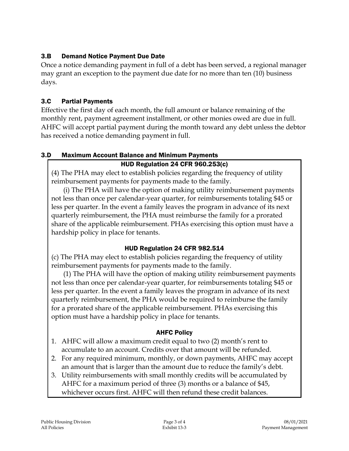### 3.B Demand Notice Payment Due Date

Once a notice demanding payment in full of a debt has been served, a regional manager may grant an exception to the payment due date for no more than ten (10) business days.

### 3.C Partial Payments

Effective the first day of each month, the full amount or balance remaining of the monthly rent, payment agreement installment, or other monies owed are due in full. AHFC will accept partial payment during the month toward any debt unless the debtor has received a notice demanding payment in full.

### 3.D Maximum Account Balance and Minimum Payments

### HUD Regulation 24 CFR 960.253(c)

(4) The PHA may elect to establish policies regarding the frequency of utility reimbursement payments for payments made to the family.

(i) The PHA will have the option of making utility reimbursement payments not less than once per calendar-year quarter, for reimbursements totaling \$45 or less per quarter. In the event a family leaves the program in advance of its next quarterly reimbursement, the PHA must reimburse the family for a prorated share of the applicable reimbursement. PHAs exercising this option must have a hardship policy in place for tenants.

### HUD Regulation 24 CFR 982.514

(c) The PHA may elect to establish policies regarding the frequency of utility reimbursement payments for payments made to the family.

(1) The PHA will have the option of making utility reimbursement payments not less than once per calendar-year quarter, for reimbursements totaling \$45 or less per quarter. In the event a family leaves the program in advance of its next quarterly reimbursement, the PHA would be required to reimburse the family for a prorated share of the applicable reimbursement. PHAs exercising this option must have a hardship policy in place for tenants.

### AHFC Policy

- 1. AHFC will allow a maximum credit equal to two (2) month's rent to accumulate to an account. Credits over that amount will be refunded.
- 2. For any required minimum, monthly, or down payments, AHFC may accept an amount that is larger than the amount due to reduce the family's debt.
- 3. Utility reimbursements with small monthly credits will be accumulated by AHFC for a maximum period of three (3) months or a balance of \$45, whichever occurs first. AHFC will then refund these credit balances.